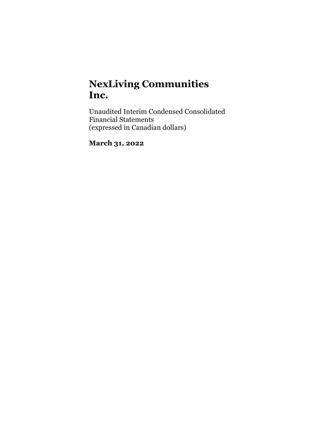Unaudited Interim Condensed Consolidated Financial Statements (expressed in Canadian dollars)

March 31, 2022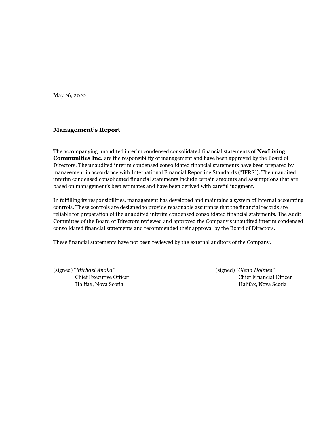May 26, 2022

## Management's Report

The accompanying unaudited interim condensed consolidated financial statements of NexLiving Communities Inc. are the responsibility of management and have been approved by the Board of Directors. The unaudited interim condensed consolidated financial statements have been prepared by management in accordance with International Financial Reporting Standards ("IFRS"). The unaudited interim condensed consolidated financial statements include certain amounts and assumptions that are based on management's best estimates and have been derived with careful judgment.

In fulfilling its responsibilities, management has developed and maintains a system of internal accounting controls. These controls are designed to provide reasonable assurance that the financial records are reliable for preparation of the unaudited interim condensed consolidated financial statements. The Audit Committee of the Board of Directors reviewed and approved the Company's unaudited interim condensed consolidated financial statements and recommended their approval by the Board of Directors.

These financial statements have not been reviewed by the external auditors of the Company.

(signed) "Michael Anaka" (signed) "Glenn Holmes"

Chief Executive Officer Chief Financial Officer Halifax, Nova Scotia Halifax, Nova Scotia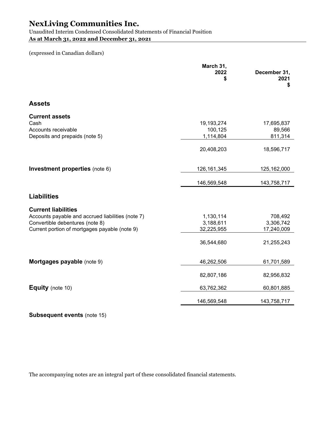Unaudited Interim Condensed Consolidated Statements of Financial Position As at March 31, 2022 and December 31, 2021

(expressed in Canadian dollars)

|                                                                                        | March 31,<br>2022<br>\$            | December 31,<br>2021<br>\$      |
|----------------------------------------------------------------------------------------|------------------------------------|---------------------------------|
| <b>Assets</b>                                                                          |                                    |                                 |
| <b>Current assets</b><br>Cash<br>Accounts receivable<br>Deposits and prepaids (note 5) | 19,193,274<br>100,125<br>1,114,804 | 17,695,837<br>89,566<br>811,314 |
|                                                                                        | 20,408,203                         | 18,596,717                      |
| Investment properties (note 6)                                                         | 126, 161, 345                      | 125,162,000                     |
|                                                                                        | 146,569,548                        | 143,758,717                     |
| <b>Liabilities</b>                                                                     |                                    |                                 |
| <b>Current liabilities</b><br>Accounts payable and accrued liabilities (note 7)        | 1,130,114                          | 708,492                         |
| Convertible debentures (note 8)<br>Current portion of mortgages payable (note 9)       | 3,188,611<br>32,225,955            | 3,306,742<br>17,240,009         |
|                                                                                        | 36,544,680                         | 21,255,243                      |
| Mortgages payable (note 9)                                                             | 46,262,506                         | 61,701,589                      |
|                                                                                        | 82,807,186                         | 82,956,832                      |
| <b>Equity</b> (note 10)                                                                | 63,762,362                         | 60,801,885                      |
|                                                                                        | 146,569,548                        | 143,758,717                     |

Subsequent events (note 15)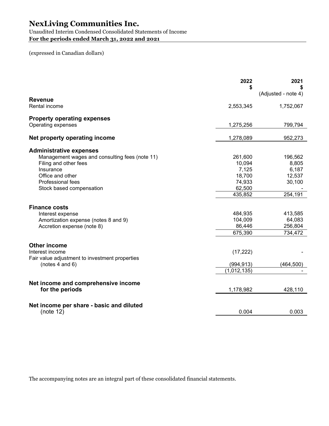Unaudited Interim Condensed Consolidated Statements of Income For the periods ended March 31, 2022 and 2021

## (expressed in Canadian dollars)

|                                                        | 2022        | 2021                |
|--------------------------------------------------------|-------------|---------------------|
|                                                        | \$          | (Adjusted - note 4) |
| <b>Revenue</b>                                         |             |                     |
| Rental income                                          | 2,553,345   | 1,752,067           |
| <b>Property operating expenses</b>                     |             |                     |
| Operating expenses                                     | 1,275,256   | 799,794             |
| Net property operating income                          | 1,278,089   | 952,273             |
| <b>Administrative expenses</b>                         |             |                     |
| Management wages and consulting fees (note 11)         | 261,600     | 196,562             |
| Filing and other fees                                  | 10,094      | 8,805               |
| Insurance                                              | 7,125       | 6,187               |
| Office and other                                       | 18,700      | 12,537              |
| Professional fees                                      | 74,933      | 30,100              |
| Stock based compensation                               | 62,500      |                     |
|                                                        | 435,852     | 254,191             |
| <b>Finance costs</b>                                   |             |                     |
| Interest expense                                       | 484,935     | 413,585             |
| Amortization expense (notes 8 and 9)                   | 104,009     | 64,083              |
| Accretion expense (note 8)                             | 86,446      | 256,804             |
|                                                        | 675,390     | 734,472             |
| <b>Other income</b>                                    |             |                     |
| Interest income                                        | (17, 222)   |                     |
| Fair value adjustment to investment properties         |             |                     |
| (notes $4$ and $6$ )                                   | (994, 913)  | (464, 500)          |
|                                                        | (1,012,135) |                     |
|                                                        |             |                     |
| Net income and comprehensive income<br>for the periods | 1,178,982   | 428,110             |
|                                                        |             |                     |
| Net income per share - basic and diluted<br>(note 12)  | 0.004       | 0.003               |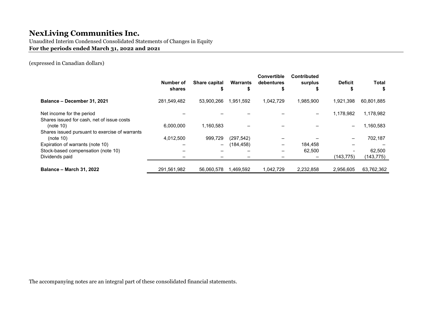Unaudited Interim Condensed Consolidated Statements of Changes in Equity

For the periods ended March 31, 2022 and 2021

(expressed in Canadian dollars)

|                                                                         | Number of<br>shares | Share capital<br>ъ | Warrants   | Convertible<br>debentures<br>S | <b>Contributed</b><br>surplus<br>æ | <b>Deficit</b> | <b>Total</b><br>\$ |
|-------------------------------------------------------------------------|---------------------|--------------------|------------|--------------------------------|------------------------------------|----------------|--------------------|
| Balance - December 31, 2021                                             | 281,549,482         | 53,900,266         | 1,951,592  | 1,042,729                      | 1,985,900                          | 1,921,398      | 60,801,885         |
| Net income for the period<br>Shares issued for cash, net of issue costs |                     |                    |            |                                | $\overline{\phantom{m}}$           | 1.178.982      | 1,178,982          |
| (note 10)<br>Shares issued pursuant to exercise of warrants             | 6,000,000           | 1,160,583          |            |                                |                                    |                | 1,160,583          |
| (note 10)                                                               | 4,012,500           | 999.729            | (297, 542) |                                |                                    |                | 702,187            |
| Expiration of warrants (note 10)                                        |                     | $\qquad \qquad -$  | (184, 458) | -                              | 184,458                            |                |                    |
| Stock-based compensation (note 10)                                      |                     |                    |            |                                | 62,500                             |                | 62,500             |
| Dividends paid                                                          |                     |                    |            |                                |                                    | (143,775)      | (143,775)          |
| <b>Balance - March 31, 2022</b>                                         | 291,561,982         | 56,060,578         | 1,469,592  | 1,042,729                      | 2,232,858                          | 2.956.605      | 63,762,362         |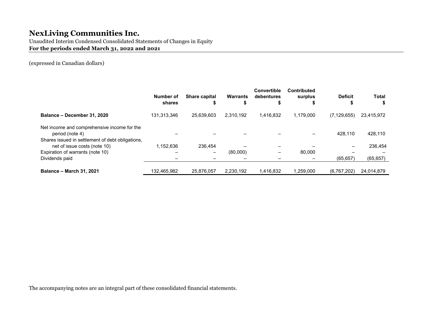Unaudited Interim Condensed Consolidated Statements of Changes in Equity For the periods ended March 31, 2022 and 2021

(expressed in Canadian dollars)

|                                                                                                                    | Number of<br>shares | <b>Share capital</b><br>\$ | <b>Warrants</b> | <b>Convertible</b><br>debentures | <b>Contributed</b><br>surplus | <b>Deficit</b> | <b>Total</b> |
|--------------------------------------------------------------------------------------------------------------------|---------------------|----------------------------|-----------------|----------------------------------|-------------------------------|----------------|--------------|
| Balance - December 31, 2020                                                                                        | 131,313,346         | 25,639,603                 | 2.310.192       | 1.416.832                        | 1.179.000                     | (7, 129, 655)  | 23,415,972   |
| Net income and comprehensive income for the<br>period (note 4)<br>Shares issued in settlement of debt obligations, |                     |                            |                 |                                  |                               | 428,110        | 428,110      |
| net of issue costs (note 10)                                                                                       | 1.152.636           | 236.454                    |                 |                                  |                               |                | 236,454      |
| Expiration of warrants (note 10)                                                                                   |                     | $\overline{\phantom{m}}$   | (80,000)        | $\overline{\phantom{m}}$         | 80,000                        |                |              |
| Dividends paid                                                                                                     |                     |                            |                 |                                  |                               | (65, 657)      | (65, 657)    |
| <b>Balance - March 31, 2021</b>                                                                                    | 132,465,982         | 25.876.057                 | 2.230.192       | 1,416,832                        | 1.259.000                     | (6,767,202)    | 24,014,879   |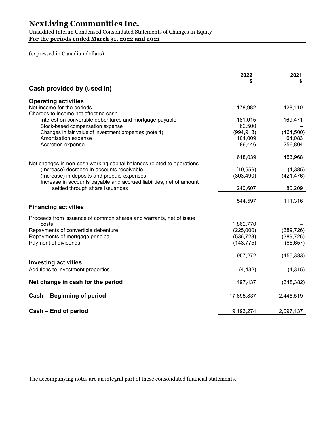Unaudited Interim Condensed Consolidated Statements of Changes in Equity For the periods ended March 31, 2022 and 2021

(expressed in Canadian dollars)

|                                                                                                        | 2022              | 2021<br>\$        |
|--------------------------------------------------------------------------------------------------------|-------------------|-------------------|
| Cash provided by (used in)                                                                             |                   |                   |
| <b>Operating activities</b>                                                                            |                   |                   |
| Net income for the periods                                                                             | 1,178,982         | 428,110           |
| Charges to income not affecting cash<br>Interest on convertible debentures and mortgage payable        | 181,015           | 169,471           |
| Stock-based compensation expense                                                                       | 62,500            |                   |
| Changes in fair value of investment properties (note 4)                                                | (994, 913)        | (464, 500)        |
| Amortization expense<br>Accretion expense                                                              | 104,009<br>86,446 | 64,083<br>256,804 |
|                                                                                                        |                   |                   |
|                                                                                                        | 618,039           | 453,968           |
| Net changes in non-cash working capital balances related to operations                                 |                   |                   |
| (Increase) decrease in accounts receivable                                                             | (10, 559)         | (1,385)           |
| (Increase) in deposits and prepaid expenses                                                            | (303, 490)        | (421, 476)        |
| Increase in accounts payable and accrued liabilities, net of amount<br>settled through share issuances | 240,607           | 80,209            |
|                                                                                                        | 544,597           | 111,316           |
| <b>Financing activities</b>                                                                            |                   |                   |
| Proceeds from issuance of common shares and warrants, net of issue                                     |                   |                   |
| costs                                                                                                  | 1,862,770         |                   |
| Repayments of convertible debenture                                                                    | (225,000)         | (389, 726)        |
| Repayments of mortgage principal                                                                       | (536, 723)        | (389, 726)        |
| Payment of dividends                                                                                   | (143, 775)        | (65, 657)         |
|                                                                                                        | 957,272           | (455,383)         |
| <b>Investing activities</b>                                                                            |                   |                   |
| Additions to investment properties                                                                     | (4, 432)          | (4, 315)          |
| Net change in cash for the period                                                                      | 1,497,437         | (348, 382)        |
| Cash - Beginning of period                                                                             | 17,695,837        | 2,445,519         |
| Cash - End of period                                                                                   | 19,193,274        | 2,097,137         |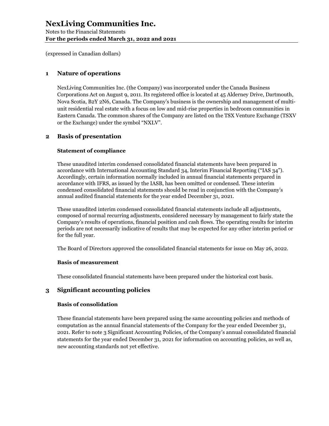Notes to the Financial Statements For the periods ended March 31, 2022 and 2021

(expressed in Canadian dollars)

### 1 Nature of operations

NexLiving Communities Inc. (the Company) was incorporated under the Canada Business Corporations Act on August 9, 2011. Its registered office is located at 45 Alderney Drive, Dartmouth, Nova Scotia, B2Y 2N6, Canada. The Company's business is the ownership and management of multiunit residential real estate with a focus on low and mid-rise properties in bedroom communities in Eastern Canada. The common shares of the Company are listed on the TSX Venture Exchange (TSXV or the Exchange) under the symbol "NXLV".

### 2 Basis of presentation

### Statement of compliance

These unaudited interim condensed consolidated financial statements have been prepared in accordance with International Accounting Standard 34, Interim Financial Reporting ("IAS 34"). Accordingly, certain information normally included in annual financial statements prepared in accordance with IFRS, as issued by the IASB, has been omitted or condensed. These interim condensed consolidated financial statements should be read in conjunction with the Company's annual audited financial statements for the year ended December 31, 2021.

These unaudited interim condensed consolidated financial statements include all adjustments, composed of normal recurring adjustments, considered necessary by management to fairly state the Company's results of operations, financial position and cash flows. The operating results for interim periods are not necessarily indicative of results that may be expected for any other interim period or for the full year.

The Board of Directors approved the consolidated financial statements for issue on May 26, 2022.

### Basis of measurement

These consolidated financial statements have been prepared under the historical cost basis.

### 3 Significant accounting policies

#### Basis of consolidation

These financial statements have been prepared using the same accounting policies and methods of computation as the annual financial statements of the Company for the year ended December 31, 2021. Refer to note 3 Significant Accounting Policies, of the Company's annual consolidated financial statements for the year ended December 31, 2021 for information on accounting policies, as well as, new accounting standards not yet effective.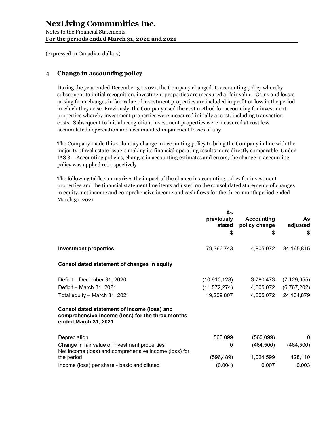Notes to the Financial Statements For the periods ended March 31, 2022 and 2021

(expressed in Canadian dollars)

## 4 Change in accounting policy

During the year ended December 31, 2021, the Company changed its accounting policy whereby subsequent to initial recognition, investment properties are measured at fair value. Gains and losses arising from changes in fair value of investment properties are included in profit or loss in the period in which they arise. Previously, the Company used the cost method for accounting for investment properties whereby investment properties were measured initially at cost, including transaction costs. Subsequent to initial recognition, investment properties were measured at cost less accumulated depreciation and accumulated impairment losses, if any.

The Company made this voluntary change in accounting policy to bring the Company in line with the majority of real estate issuers making its financial operating results more directly comparable. Under IAS 8 – Accounting policies, changes in accounting estimates and errors, the change in accounting policy was applied retrospectively.

The following table summarizes the impact of the change in accounting policy for investment properties and the financial statement line items adjusted on the consolidated statements of changes in equity, net income and comprehensive income and cash flows for the three-month period ended March 31, 2021:

| As             |                            |                                                           |
|----------------|----------------------------|-----------------------------------------------------------|
|                |                            | As<br>adjusted                                            |
|                |                            | \$                                                        |
|                |                            |                                                           |
| 79,360,743     | 4,805,072                  | 84, 165, 815                                              |
|                |                            |                                                           |
| (10, 910, 128) | 3,780,473                  | (7, 129, 655)                                             |
|                | 4,805,072                  | (6,767,202)                                               |
| 19,209,807     | 4,805,072                  | 24,104,879                                                |
|                |                            |                                                           |
| 560,099        | (560,099)                  | $\Omega$                                                  |
| 0              | (464, 500)                 | (464, 500)                                                |
| (596,489)      | 1,024,599                  | 428,110                                                   |
| (0.004)        | 0.007                      | 0.003                                                     |
|                | previously<br>stated<br>\$ | <b>Accounting</b><br>policy change<br>S<br>(11, 572, 274) |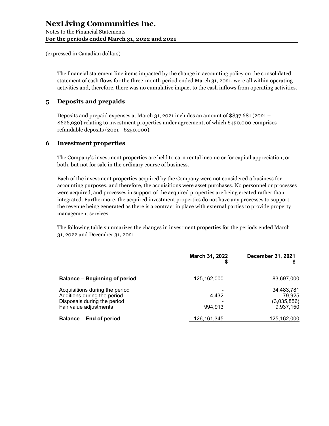The financial statement line items impacted by the change in accounting policy on the consolidated statement of cash flows for the three-month period ended March 31, 2021, were all within operating activities and, therefore, there was no cumulative impact to the cash inflows from operating activities.

### 5 Deposits and prepaids

Deposits and prepaid expenses at March 31, 2021 includes an amount of \$837,681 (2021 – \$626,930) relating to investment properties under agreement, of which \$450,000 comprises refundable deposits (2021 –\$250,000).

### 6 Investment properties

The Company's investment properties are held to earn rental income or for capital appreciation, or both, but not for sale in the ordinary course of business.

Each of the investment properties acquired by the Company were not considered a business for accounting purposes, and therefore, the acquisitions were asset purchases. No personnel or processes were acquired, and processes in support of the acquired properties are being created rather than integrated. Furthermore, the acquired investment properties do not have any processes to support the revenue being generated as there is a contract in place with external parties to provide property management services.

The following table summarizes the changes in investment properties for the periods ended March 31, 2022 and December 31, 2021

|                                                                                                                        | March 31, 2022<br>S | <b>December 31, 2021</b>                         |
|------------------------------------------------------------------------------------------------------------------------|---------------------|--------------------------------------------------|
| <b>Balance - Beginning of period</b>                                                                                   | 125, 162, 000       | 83,697,000                                       |
| Acquisitions during the period<br>Additions during the period<br>Disposals during the period<br>Fair value adjustments | 4.432<br>994,913    | 34,483,781<br>79,925<br>(3,035,856)<br>9,937,150 |
| <b>Balance - End of period</b>                                                                                         | 126, 161, 345       | 125,162,000                                      |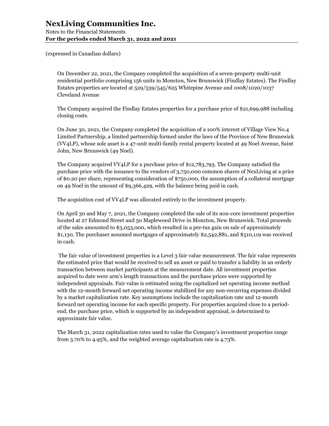Notes to the Financial Statements For the periods ended March 31, 2022 and 2021

(expressed in Canadian dollars)

On December 22, 2021, the Company completed the acquisition of a seven-property multi-unit residential portfolio comprising 156 units in Moncton, New Brunswick (Findlay Estates). The Findlay Estates properties are located at 529/539/545/625 Whitepine Avenue and 1008/1020/1037 Cleveland Avenue

The Company acquired the Findlay Estates properties for a purchase price of \$21,699,988 including closing costs.

On June 30, 2021, the Company completed the acquisition of a 100% interest of Village View No.4 Limited Partnership, a limited partnership formed under the laws of the Province of New Brunswick (VV4LP), whose sole asset is a 47-unit multi-family rental property located at 49 Noel Avenue, Saint John, New Brunswick (49 Noel).

The Company acquired VV4LP for a purchase price of \$12,783,793. The Company satisfied the purchase price with the issuance to the vendors of 3,750,000 common shares of NexLiving at a price of \$0.20 per share, representing consideration of \$750,000, the assumption of a collateral mortgage on 49 Noel in the amount of \$9,366,429, with the balance being paid in cash.

The acquisition cost of VV4LP was allocated entirely to the investment property.

On April 30 and May 7, 2021, the Company completed the sale of its non-core investment properties located at 27 Edmond Street and 50 Maplewood Drive in Moncton, New Brunswick. Total proceeds of the sales amounted to \$3,053,000, which resulted in a pre-tax gain on sale of approximately \$1,130. The purchaser assumed mortgages of approximately \$2,542,881, and \$510,119 was received in cash.

 The fair value of investment properties is a Level 3 fair value measurement. The fair value represents the estimated price that would be received to sell an asset or paid to transfer a liability in an orderly transaction between market participants at the measurement date. All investment properties acquired to date were arm's length transactions and the purchase prices were supported by independent appraisals. Fair value is estimated using the capitalized net operating income method with the 12-month forward net operating income stabilized for any non-recurring expenses divided by a market capitalization rate. Key assumptions include the capitalization rate and 12-month forward net operating income for each specific property. For properties acquired close to a periodend, the purchase price, which is supported by an independent appraisal, is determined to approximate fair value.

The March 31, 2022 capitalization rates used to value the Company's investment properties range from 3.70% to 4.95%, and the weighted average capitalization rate is 4.73%.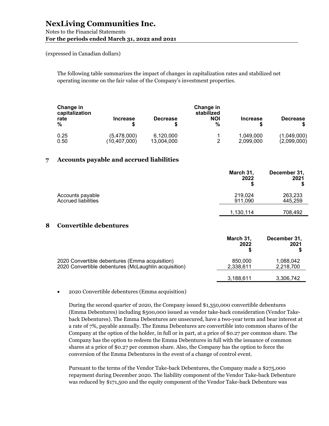### Notes to the Financial Statements For the periods ended March 31, 2022 and 2021

(expressed in Canadian dollars)

The following table summarizes the impact of changes in capitalization rates and stabilized net operating income on the fair value of the Company's investment properties.

| Change in<br>capitalization<br>rate<br>% | Increase     | <b>Decrease</b> | Change in<br>stabilized<br><b>NOI</b><br>% | <b>Increase</b> | <b>Decrease</b> |
|------------------------------------------|--------------|-----------------|--------------------------------------------|-----------------|-----------------|
| 0.25                                     | (5,478,000)  | 6,120,000       | 2                                          | 1,049,000       | (1,049,000)     |
| 0.50                                     | (10,407,000) | 13,004,000      |                                            | 2,099,000       | (2,099,000)     |

### 7 Accounts payable and accrued liabilities

|                            | March 31,<br>2022    | December 31,<br>2021<br>S |
|----------------------------|----------------------|---------------------------|
| Accounts payable           | 219,024              | 263,233                   |
| <b>Accrued liabilities</b> | 911,090<br>1,130,114 | 445,259<br>708,492        |

### 8 Convertible debentures

|                                                                                                        | March 31,<br>2022    | December 31,<br>2021   |
|--------------------------------------------------------------------------------------------------------|----------------------|------------------------|
| 2020 Convertible debentures (Emma acquisition)<br>2020 Convertible debentures (McLaughlin acquisition) | 850,000<br>2,338,611 | 1,088,042<br>2,218,700 |
|                                                                                                        | 3,188,611            | 3,306,742              |

2020 Convertible debentures (Emma acquisition)

During the second quarter of 2020, the Company issued \$1,350,000 convertible debentures (Emma Debentures) including \$500,000 issued as vendor take-back consideration (Vendor Takeback Debentures). The Emma Debentures are unsecured, have a two-year term and bear interest at a rate of 7%, payable annually. The Emma Debentures are convertible into common shares of the Company at the option of the holder, in full or in part, at a price of \$0.27 per common share. The Company has the option to redeem the Emma Debentures in full with the issuance of common shares at a price of \$0.27 per common share. Also, the Company has the option to force the conversion of the Emma Debentures in the event of a change of control event.

Pursuant to the terms of the Vendor Take-back Debentures, the Company made a \$275,000 repayment during December 2020. The liability component of the Vendor Take-back Debenture was reduced by \$171,500 and the equity component of the Vendor Take-back Debenture was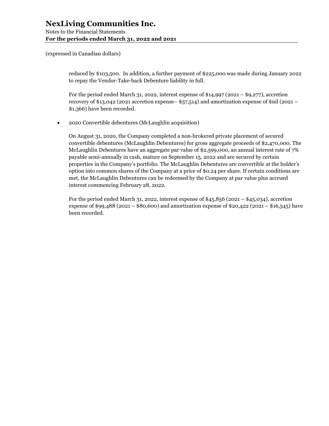Notes to the Financial Statements For the periods ended March 31, 2022 and 2021

(expressed in Canadian dollars)

reduced by \$103,500. In addition, a further payment of \$225,000 was made during January 2022 to repay the Vendor-Take-back Debenture liability in full.

For the period ended March 31, 2022, interest expense of  $$14,997$  (2021 –  $$9,277$ ), accretion recovery of \$13,042 (2021 accretion expense– \$57,514) and amortization expense of \$nil (2021 – \$1,366) have been recorded.

2020 Convertible debentures (McLaughlin acquisition)

On August 31, 2020, the Company completed a non-brokered private placement of secured convertible debentures (McLaughlin Debentures) for gross aggregate proceeds of \$2,470,000. The McLaughlin Debentures have an aggregate par value of \$2,599,000, an annual interest rate of 7% payable semi-annually in cash, mature on September 15, 2022 and are secured by certain properties in the Company's portfolio. The McLaughlin Debentures are convertible at the holder's option into common shares of the Company at a price of \$0.24 per share. If certain conditions are met, the McLaughlin Debentures can be redeemed by the Company at par value plus accrued interest commencing February 28, 2022.

For the period ended March 31, 2022, interest expense of  $$45,856$  (2021 –  $$45,034$ ), accretion expense of \$99,488 (2021 – \$80,600) and amortization expense of \$20,422 (2021 – \$16,545) have been recorded.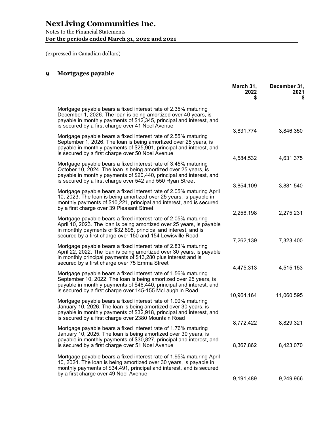Notes to the Financial Statements For the periods ended March 31, 2022 and 2021

(expressed in Canadian dollars)

## 9 Mortgages payable

|                                                                                                                                                                                                                                                                          | March 31,<br>2022      | December 31,<br>2021<br>S |
|--------------------------------------------------------------------------------------------------------------------------------------------------------------------------------------------------------------------------------------------------------------------------|------------------------|---------------------------|
| Mortgage payable bears a fixed interest rate of 2.35% maturing<br>December 1, 2026. The loan is being amortized over 40 years, is<br>payable in monthly payments of \$12,345, principal and interest, and<br>is secured by a first charge over 41 Noel Avenue            |                        |                           |
| Mortgage payable bears a fixed interest rate of 2.55% maturing<br>September 1, 2026. The loan is being amortized over 25 years, is<br>payable in monthly payments of \$25,901, principal and interest, and<br>is secured by a first charge over 50 Noel Avenue           | 3,831,774              | 3,846,350                 |
| Mortgage payable bears a fixed interest rate of 3.45% maturing<br>October 10, 2024. The loan is being amortized over 25 years, is<br>payable in monthly payments of \$20,440, principal and interest, and<br>is secured by a first charge over 542 and 550 Ryan Street   | 4,584,532              | 4,631,375                 |
| Mortgage payable bears a fixed interest rate of 2.05% maturing April<br>10, 2023. The loan is being amortized over 25 years, is payable in<br>monthly payments of \$10,221, principal and interest, and is secured<br>by a first charge over 39 Pleasant Street          | 3,854,109              | 3,881,540                 |
| Mortgage payable bears a fixed interest rate of 2.05% maturing<br>April 10, 2023. The loan is being amortized over 25 years, is payable<br>in monthly payments of \$32,898, principal and interest, and is<br>secured by a first charge over 150 and 154 Lewisville Road | 2,256,198              | 2,275,231                 |
| Mortgage payable bears a fixed interest rate of 2.83% maturing<br>April 22, 2022. The loan is being amortized over 30 years, is payable<br>in monthly principal payments of \$13,280 plus interest and is<br>secured by a first charge over 75 Emma Street               | 7,262,139              | 7,323,400                 |
| Mortgage payable bears a fixed interest rate of 1.56% maturing<br>September 10, 2022. The loan is being amortized over 25 years, is<br>payable in monthly payments of \$46,440, principal and interest, and<br>is secured by a first charge over 145-155 McLaughlin Road | 4,475,313              | 4,515,153                 |
| Mortgage payable bears a fixed interest rate of 1.90% maturing<br>January 10, 2026. The loan is being amortized over 30 years, is<br>payable in monthly payments of \$32,918, principal and interest, and<br>is secured by a first charge over 2380 Mountain Road        | 10,964,164             | 11,060,595                |
| Mortgage payable bears a fixed interest rate of 1.76% maturing<br>January 10, 2025. The loan is being amortized over 30 years, is<br>payable in monthly payments of \$30,827, principal and interest, and<br>is secured by a first charge over 51 Noel Avenue            | 8,772,422<br>8,367,862 | 8,829,321<br>8,423,070    |
| Mortgage payable bears a fixed interest rate of 1.95% maturing April<br>10, 2024. The loan is being amortized over 30 years, is payable in<br>monthly payments of \$34,491, principal and interest, and is secured<br>by a first charge over 49 Noel Avenue              |                        |                           |
|                                                                                                                                                                                                                                                                          | 9,191,489              | 9,249,966                 |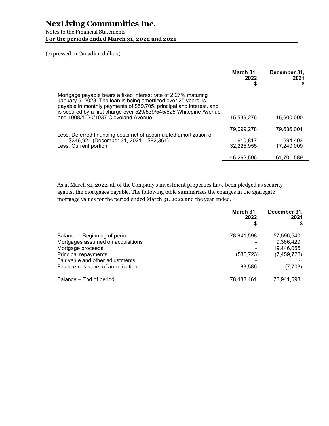Notes to the Financial Statements For the periods ended March 31, 2022 and 2021

(expressed in Canadian dollars)

|                                                                                                                                                                                                                                                                                                                       | March 31,<br>2022 | December 31,<br>2021<br>S |
|-----------------------------------------------------------------------------------------------------------------------------------------------------------------------------------------------------------------------------------------------------------------------------------------------------------------------|-------------------|---------------------------|
| Mortgage payable bears a fixed interest rate of 2.27% maturing<br>January 5, 2023. The loan is being amortized over 25 years, is<br>payable in monthly payments of \$59,705, principal and interest, and<br>is secured by a first charge over 529/539/545/625 Whitepine Avenue<br>and 1008/1020/1037 Cleveland Avenue | 15.539.276        | 15.600.000                |
|                                                                                                                                                                                                                                                                                                                       |                   |                           |
| Less: Deferred financing costs net of accumulated amortization of                                                                                                                                                                                                                                                     | 79.099.278        | 79.636.001                |
| $$346,921$ (December 31, 2021 - \$82,361)                                                                                                                                                                                                                                                                             | 610.817           | 694.403                   |
| Less: Current portion                                                                                                                                                                                                                                                                                                 | 32,225,955        | 17,240,009                |
|                                                                                                                                                                                                                                                                                                                       | 46,262,506        | 61,701,589                |

As at March 31, 2022, all of the Company's investment properties have been pledged as security against the mortgages payable. The following table summarizes the changes in the aggregate mortgage values for the period ended March 31, 2022 and the year ended.

|                                    | March 31,<br>2022 | December 31,<br>2021 |
|------------------------------------|-------------------|----------------------|
| Balance – Beginning of period      | 78,941,598        | 57,596,540           |
| Mortgages assumed on acquisitions  |                   | 9,366,429            |
| Mortgage proceeds                  |                   | 19,446,055           |
| Principal repayments               | (536, 723)        | (7, 459, 723)        |
| Fair value and other adjustments   |                   |                      |
| Finance costs, net of amortization | 83,586            | (7,703)              |
| Balance – End of period            | 78,488,461        | 78,941,598           |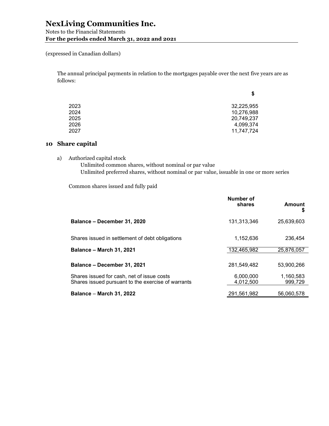(expressed in Canadian dollars)

The annual principal payments in relation to the mortgages payable over the next five years are as follows:

|      | \$         |
|------|------------|
| 2023 | 32,225,955 |
| 2024 | 10,276,988 |
| 2025 | 20,749,237 |
| 2026 | 4,099,374  |
| 2027 | 11,747,724 |

## 10 Share capital

a) Authorized capital stock

Unlimited common shares, without nominal or par value Unlimited preferred shares, without nominal or par value, issuable in one or more series

Common shares issued and fully paid

|                                                                                                  | Number of<br>shares    | <b>Amount</b><br>\$  |
|--------------------------------------------------------------------------------------------------|------------------------|----------------------|
| Balance - December 31, 2020                                                                      | 131,313,346            | 25,639,603           |
| Shares issued in settlement of debt obligations                                                  | 1,152,636              | 236,454              |
| <b>Balance - March 31, 2021</b>                                                                  | 132,465,982            | 25,876,057           |
|                                                                                                  |                        |                      |
| Balance - December 31, 2021                                                                      | 281,549,482            | 53.900.266           |
| Shares issued for cash, net of issue costs<br>Shares issued pursuant to the exercise of warrants | 6,000,000<br>4.012.500 | 1,160,583<br>999.729 |
| <b>Balance - March 31, 2022</b>                                                                  | 291.561.982            | 56.060.578           |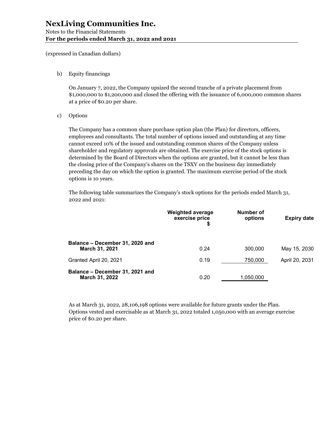b) Equity financings

On January 7, 2022, the Company upsized the second tranche of a private placement from \$1,000,000 to \$1,200,000 and closed the offering with the issuance of 6,000,000 common shares at a price of \$0.20 per share.

c) Options

The Company has a common share purchase option plan (the Plan) for directors, officers, employees and consultants. The total number of options issued and outstanding at any time cannot exceed 10% of the issued and outstanding common shares of the Company unless shareholder and regulatory approvals are obtained. The exercise price of the stock options is determined by the Board of Directors when the options are granted, but it cannot be less than the closing price of the Company's shares on the TSXV on the business day immediately preceding the day on which the option is granted. The maximum exercise period of the stock options is 10 years.

The following table summarizes the Company's stock options for the periods ended March 31, 2022 and 2021:

|                                                   | <b>Weighted average</b><br>exercise price<br>\$ | Number of<br>options | Expiry date    |
|---------------------------------------------------|-------------------------------------------------|----------------------|----------------|
| Balance - December 31, 2020 and<br>March 31, 2021 | 0.24                                            | 300,000              | May 15, 2030   |
| Granted April 20, 2021                            | 0.19                                            | 750,000              | April 20, 2031 |
| Balance - December 31, 2021 and<br>March 31, 2022 | 0.20                                            | 1,050,000            |                |

As at March 31, 2022, 28,106,198 options were available for future grants under the Plan. Options vested and exercisable as at March 31, 2022 totaled 1,050,000 with an average exercise price of \$0.20 per share.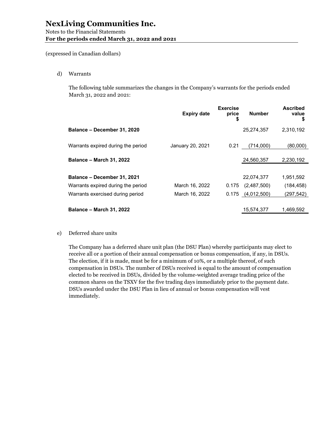d) Warrants

The following table summarizes the changes in the Company's warrants for the periods ended March 31, 2022 and 2021:

|                                    | <b>Expiry date</b> | <b>Exercise</b><br>price<br>\$ | <b>Number</b>         | <b>Ascribed</b><br>value<br>S |
|------------------------------------|--------------------|--------------------------------|-----------------------|-------------------------------|
| Balance - December 31, 2020        |                    |                                | 25,274,357            | 2,310,192                     |
| Warrants expired during the period | January 20, 2021   | 0.21                           | (714.000)             | (80,000)                      |
| <b>Balance - March 31, 2022</b>    |                    |                                | 24,560,357            | 2,230,192                     |
|                                    |                    |                                |                       |                               |
| Balance - December 31, 2021        |                    |                                | 22,074,377            | 1,951,592                     |
| Warrants expired during the period | March 16, 2022     | 0.175                          | (2,487,500)           | (184, 458)                    |
| Warrants exercised during period   | March 16, 2022     |                                | $0.175$ $(4,012,500)$ | (297,542)                     |
|                                    |                    |                                |                       |                               |
| <b>Balance - March 31, 2022</b>    |                    |                                | 15,574,377            | 1,469,592                     |

e) Deferred share units

The Company has a deferred share unit plan (the DSU Plan) whereby participants may elect to receive all or a portion of their annual compensation or bonus compensation, if any, in DSUs. The election, if it is made, must be for a minimum of 10%, or a multiple thereof, of such compensation in DSUs. The number of DSUs received is equal to the amount of compensation elected to be received in DSUs, divided by the volume-weighted average trading price of the common shares on the TSXV for the five trading days immediately prior to the payment date. DSUs awarded under the DSU Plan in lieu of annual or bonus compensation will vest immediately.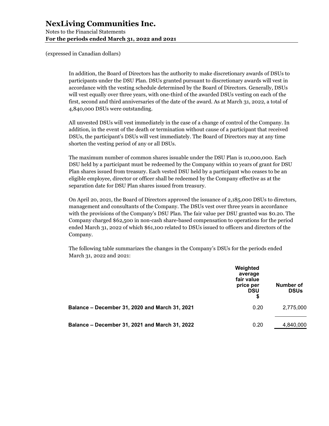Notes to the Financial Statements For the periods ended March 31, 2022 and 2021

(expressed in Canadian dollars)

In addition, the Board of Directors has the authority to make discretionary awards of DSUs to participants under the DSU Plan. DSUs granted pursuant to discretionary awards will vest in accordance with the vesting schedule determined by the Board of Directors. Generally, DSUs will vest equally over three years, with one-third of the awarded DSUs vesting on each of the first, second and third anniversaries of the date of the award. As at March 31, 2022, a total of 4,840,000 DSUs were outstanding.

All unvested DSUs will vest immediately in the case of a change of control of the Company. In addition, in the event of the death or termination without cause of a participant that received DSUs, the participant's DSUs will vest immediately. The Board of Directors may at any time shorten the vesting period of any or all DSUs.

The maximum number of common shares issuable under the DSU Plan is 10,000,000. Each DSU held by a participant must be redeemed by the Company within 10 years of grant for DSU Plan shares issued from treasury. Each vested DSU held by a participant who ceases to be an eligible employee, director or officer shall be redeemed by the Company effective as at the separation date for DSU Plan shares issued from treasury.

On April 20, 2021, the Board of Directors approved the issuance of 2,185,000 DSUs to directors, management and consultants of the Company. The DSUs vest over three years in accordance with the provisions of the Company's DSU Plan. The fair value per DSU granted was \$0.20. The Company charged \$62,500 in non-cash share-based compensation to operations for the period ended March 31, 2022 of which \$61,100 related to DSUs issued to officers and directors of the Company.

The following table summarizes the changes in the Company's DSUs for the periods ended March 31, 2022 and 2021:

|                                                | Weighted<br>average<br>fair value<br>price per<br><b>DSU</b><br>\$ | Number of<br><b>DSUs</b> |
|------------------------------------------------|--------------------------------------------------------------------|--------------------------|
| Balance – December 31, 2020 and March 31, 2021 | 0.20                                                               | 2,775,000                |
| Balance - December 31, 2021 and March 31, 2022 | 0.20                                                               | 4,840,000                |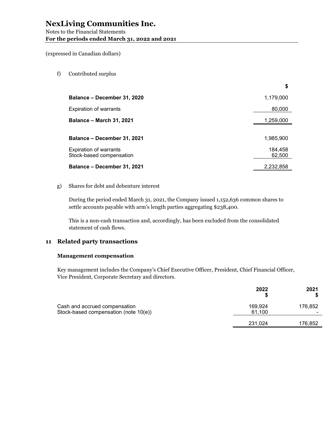f) Contributed surplus

|                                 | \$        |
|---------------------------------|-----------|
| Balance – December 31, 2020     | 1,179,000 |
| <b>Expiration of warrants</b>   | 80,000    |
| <b>Balance – March 31, 2021</b> | 1,259,000 |
|                                 |           |
| Balance – December 31, 2021     | 1,985,900 |
| <b>Expiration of warrants</b>   | 184,458   |
| Stock-based compensation        | 62,500    |
| Balance – December 31, 2021     | 2,232,858 |

#### g) Shares for debt and debenture interest

During the period ended March 31, 2021, the Company issued 1,152,636 common shares to settle accounts payable with arm's length parties aggregating \$238,400.

This is a non-cash transaction and, accordingly, has been excluded from the consolidated statement of cash flows.

### 11 Related party transactions

#### Management compensation

Key management includes the Company's Chief Executive Officer, President, Chief Financial Officer, Vice President, Corporate Secretary and directors.

|                                                                        | 2022              | 2021    |
|------------------------------------------------------------------------|-------------------|---------|
| Cash and accrued compensation<br>Stock-based compensation (note 10(e)) | 169.924<br>61.100 | 176,852 |
|                                                                        | 231,024           | 176,852 |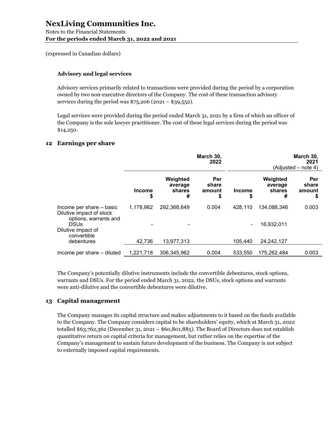## Advisory and legal services

Advisory services primarily related to transactions were provided during the period by a corporation owned by two non-executive directors of the Company. The cost of these transaction advisory services during the period was  $$75,206 (2021 - $39,552)$ .

Legal services were provided during the period ended March 31, 2021 by a firm of which an officer of the Company is the sole lawyer practitioner. The cost of these legal services during the period was \$14,250.

### 12 Earnings per share

|                                                                               | March 30,<br>2022   |                                    |                              |                     |                                    | March 30,<br>2021<br>(Adiusted – note 4) |
|-------------------------------------------------------------------------------|---------------------|------------------------------------|------------------------------|---------------------|------------------------------------|------------------------------------------|
|                                                                               | <b>Income</b><br>\$ | Weighted<br>average<br>shares<br># | Per<br>share<br>amount<br>\$ | <b>Income</b><br>\$ | Weighted<br>average<br>shares<br># | Per<br>share<br>amount<br>\$             |
| Income per share - basic<br>Dilutive impact of stock<br>options, warrants and | 1,178,982           | 292,368,649                        | 0.004                        | 428,110             | 134,088,346                        | 0.003                                    |
| <b>DSUs</b><br>Dilutive impact of<br>convertible                              |                     |                                    |                              | -                   | 16,932,011                         |                                          |
| debentures                                                                    | 42,736              | 13,977,313                         |                              | 105,440             | 24,242,127                         |                                          |
| Income per share – diluted                                                    | 1,221,718           | 306,345,962                        | 0.004                        | 533,550             | 175,262,484                        | 0.003                                    |

The Company's potentially dilutive instruments include the convertible debentures, stock options, warrants and DSUs. For the period ended March 31, 2022, the DSUs, stock options and warrants were anti-dilutive and the convertible debentures were dilutive.

### 13 Capital management

The Company manages its capital structure and makes adjustments to it based on the funds available to the Company. The Company considers capital to be shareholders' equity, which at March 31, 2022 totalled \$63,762,362 (December 31, 2021 – \$60,801,885). The Board of Directors does not establish quantitative return on capital criteria for management, but rather relies on the expertise of the Company's management to sustain future development of the business. The Company is not subject to externally imposed capital requirements.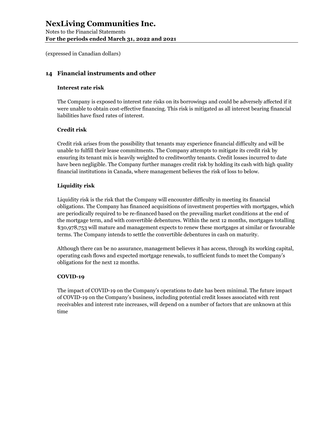Notes to the Financial Statements For the periods ended March 31, 2022 and 2021

(expressed in Canadian dollars)

## 14 Financial instruments and other

### Interest rate risk

The Company is exposed to interest rate risks on its borrowings and could be adversely affected if it were unable to obtain cost-effective financing. This risk is mitigated as all interest bearing financial liabilities have fixed rates of interest.

### Credit risk

Credit risk arises from the possibility that tenants may experience financial difficulty and will be unable to fulfill their lease commitments. The Company attempts to mitigate its credit risk by ensuring its tenant mix is heavily weighted to creditworthy tenants. Credit losses incurred to date have been negligible. The Company further manages credit risk by holding its cash with high quality financial institutions in Canada, where management believes the risk of loss to below.

### Liquidity risk

Liquidity risk is the risk that the Company will encounter difficulty in meeting its financial obligations. The Company has financed acquisitions of investment properties with mortgages, which are periodically required to be re-financed based on the prevailing market conditions at the end of the mortgage term, and with convertible debentures. Within the next 12 months, mortgages totalling \$30,978,753 will mature and management expects to renew these mortgages at similar or favourable terms. The Company intends to settle the convertible debentures in cash on maturity.

Although there can be no assurance, management believes it has access, through its working capital, operating cash flows and expected mortgage renewals, to sufficient funds to meet the Company's obligations for the next 12 months.

### COVID-19

The impact of COVID-19 on the Company's operations to date has been minimal. The future impact of COVID-19 on the Company's business, including potential credit losses associated with rent receivables and interest rate increases, will depend on a number of factors that are unknown at this time